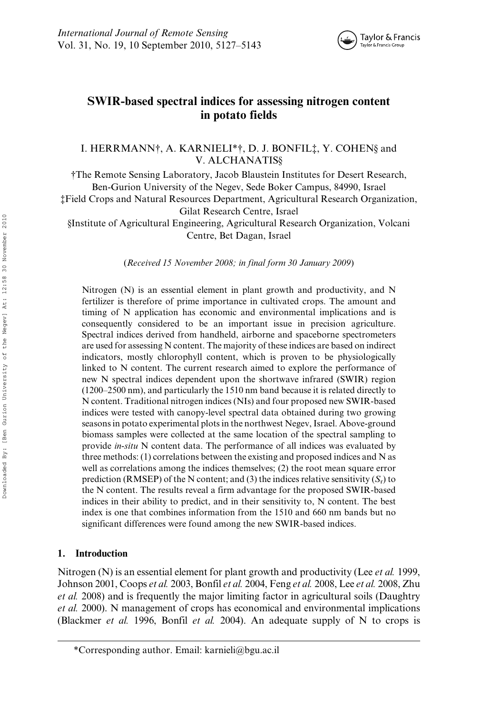

# SWIR-based spectral indices for assessing nitrogen content in potato fields

I. HERRMANN†, A. KARNIELI\*†, D. J. BONFIL‡, Y. COHEN§ and V. ALCHANATIS§

†The Remote Sensing Laboratory, Jacob Blaustein Institutes for Desert Research, Ben-Gurion University of the Negev, Sede Boker Campus, 84990, Israel ‡Field Crops and Natural Resources Department, Agricultural Research Organization, Gilat Research Centre, Israel §Institute of Agricultural Engineering, Agricultural Research Organization, Volcani Centre, Bet Dagan, Israel

(Received 15 November 2008; in final form 30 January 2009)

Nitrogen (N) is an essential element in plant growth and productivity, and N fertilizer is therefore of prime importance in cultivated crops. The amount and timing of N application has economic and environmental implications and is consequently considered to be an important issue in precision agriculture. Spectral indices derived from handheld, airborne and spaceborne spectrometers are used for assessing N content. The majority of these indices are based on indirect indicators, mostly chlorophyll content, which is proven to be physiologically linked to N content. The current research aimed to explore the performance of new N spectral indices dependent upon the shortwave infrared (SWIR) region (1200–2500 nm), and particularly the 1510 nm band because it is related directly to N content. Traditional nitrogen indices (NIs) and four proposed new SWIR-based indices were tested with canopy-level spectral data obtained during two growing seasons in potato experimental plots in the northwest Negev, Israel. Above-ground biomass samples were collected at the same location of the spectral sampling to provide in-situ N content data. The performance of all indices was evaluated by three methods: (1) correlations between the existing and proposed indices and N as well as correlations among the indices themselves; (2) the root mean square error prediction (RMSEP) of the N content; and (3) the indices relative sensitivity  $(S_r)$  to the N content. The results reveal a firm advantage for the proposed SWIR-based indices in their ability to predict, and in their sensitivity to, N content. The best index is one that combines information from the 1510 and 660 nm bands but no significant differences were found among the new SWIR-based indices.

## 1. Introduction

Nitrogen (N) is an essential element for plant growth and productivity (Lee *et al.* 1999, Johnson 2001, Coops et al. 2003, Bonfil et al. 2004, Feng et al. 2008, Lee et al. 2008, Zhu et al. 2008) and is frequently the major limiting factor in agricultural soils (Daughtry et al. 2000). N management of crops has economical and environmental implications (Blackmer *et al.* 1996, Bonfil *et al.* 2004). An adequate supply of N to crops is

<sup>\*</sup>Corresponding author. Email: karnieli@bgu.ac.il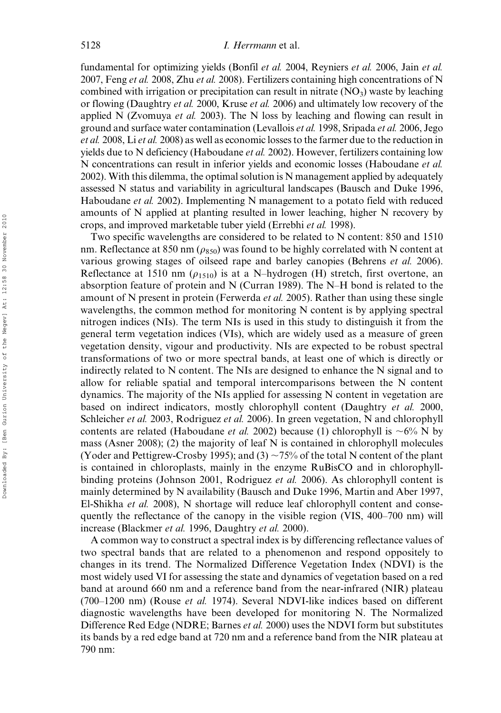fundamental for optimizing yields (Bonfil et al. 2004, Reyniers et al. 2006, Jain et al. 2007, Feng et al. 2008, Zhu et al. 2008). Fertilizers containing high concentrations of N combined with irrigation or precipitation can result in nitrate  $(NO<sub>3</sub>)$  waste by leaching or flowing (Daughtry et al. 2000, Kruse et al. 2006) and ultimately low recovery of the applied N (Zvomuya *et al.* 2003). The N loss by leaching and flowing can result in ground and surface water contamination (Levallois et al. 1998, Sripada et al. 2006, Jego et al. 2008, Li et al. 2008) as well as economic losses to the farmer due to the reduction in yields due to N deficiency (Haboudane et al. 2002). However, fertilizers containing low N concentrations can result in inferior yields and economic losses (Haboudane et al. 2002). With this dilemma, the optimal solution is N management applied by adequately assessed N status and variability in agricultural landscapes (Bausch and Duke 1996, Haboudane *et al.* 2002). Implementing N management to a potato field with reduced amounts of N applied at planting resulted in lower leaching, higher N recovery by crops, and improved marketable tuber yield (Errebhi et al. 1998).

Two specific wavelengths are considered to be related to N content: 850 and 1510 nm. Reflectance at 850 nm ( $\rho_{850}$ ) was found to be highly correlated with N content at various growing stages of oilseed rape and barley canopies (Behrens et al. 2006). Reflectance at 1510 nm ( $\rho_{1510}$ ) is at a N–hydrogen (H) stretch, first overtone, an absorption feature of protein and N (Curran 1989). The N–H bond is related to the amount of N present in protein (Ferwerda *et al.* 2005). Rather than using these single wavelengths, the common method for monitoring N content is by applying spectral nitrogen indices (NIs). The term NIs is used in this study to distinguish it from the general term vegetation indices (VIs), which are widely used as a measure of green vegetation density, vigour and productivity. NIs are expected to be robust spectral transformations of two or more spectral bands, at least one of which is directly or indirectly related to N content. The NIs are designed to enhance the N signal and to allow for reliable spatial and temporal intercomparisons between the N content dynamics. The majority of the NIs applied for assessing N content in vegetation are based on indirect indicators, mostly chlorophyll content (Daughtry et al. 2000, Schleicher et al. 2003, Rodriguez et al. 2006). In green vegetation, N and chlorophyll contents are related (Haboudane *et al.* 2002) because (1) chlorophyll is  $\sim 6\%$  N by mass (Asner 2008); (2) the majority of leaf N is contained in chlorophyll molecules (Yoder and Pettigrew-Crosby 1995); and (3)  $\sim$  75% of the total N content of the plant is contained in chloroplasts, mainly in the enzyme RuBisCO and in chlorophyllbinding proteins (Johnson 2001, Rodriguez et al. 2006). As chlorophyll content is mainly determined by N availability (Bausch and Duke 1996, Martin and Aber 1997, El-Shikha et al. 2008), N shortage will reduce leaf chlorophyll content and consequently the reflectance of the canopy in the visible region (VIS, 400–700 nm) will increase (Blackmer et al. 1996, Daughtry et al. 2000).

A common way to construct a spectral index is by differencing reflectance values of two spectral bands that are related to a phenomenon and respond oppositely to changes in its trend. The Normalized Difference Vegetation Index (NDVI) is the most widely used VI for assessing the state and dynamics of vegetation based on a red band at around 660 nm and a reference band from the near-infrared (NIR) plateau  $(700-1200)$  nm) (Rouse *et al.* 1974). Several NDVI-like indices based on different diagnostic wavelengths have been developed for monitoring N. The Normalized Difference Red Edge (NDRE; Barnes et al. 2000) uses the NDVI form but substitutes its bands by a red edge band at 720 nm and a reference band from the NIR plateau at 790 nm: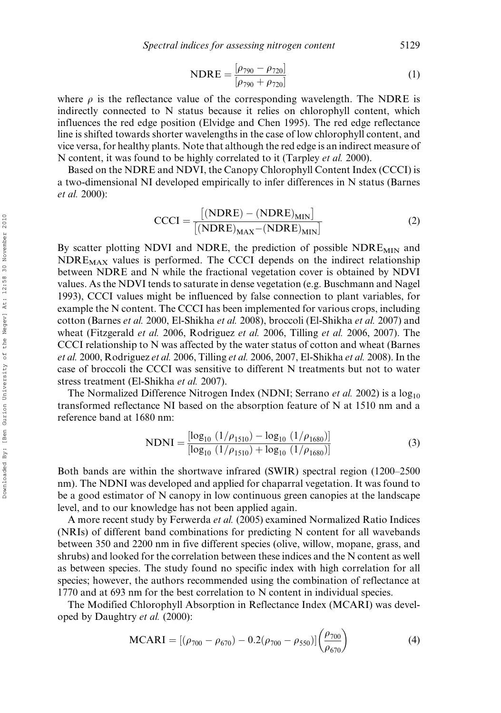NDRE = 
$$
\frac{[\rho_{790} - \rho_{720}]}{[\rho_{790} + \rho_{720}]}
$$
 (1)

where  $\rho$  is the reflectance value of the corresponding wavelength. The NDRE is indirectly connected to N status because it relies on chlorophyll content, which influences the red edge position (Elvidge and Chen 1995). The red edge reflectance line is shifted towards shorter wavelengths in the case of low chlorophyll content, and vice versa, for healthy plants. Note that although the red edge is an indirect measure of N content, it was found to be highly correlated to it (Tarpley et al. 2000).

Based on the NDRE and NDVI, the Canopy Chlorophyll Content Index (CCCI) is a two-dimensional NI developed empirically to infer differences in N status (Barnes et al. 2000):

$$
CCCI = \frac{[(NDRE) - (NDRE)_{MIN}]}{[(NDRE)_{MAX} - (NDRE)_{MIN}]}
$$
(2)

By scatter plotting NDVI and NDRE, the prediction of possible  $NDRE_{MIN}$  and  $NDRE_{MAX}$  values is performed. The CCCI depends on the indirect relationship between NDRE and N while the fractional vegetation cover is obtained by NDVI values. As the NDVI tends to saturate in dense vegetation (e.g. Buschmann and Nagel 1993), CCCI values might be influenced by false connection to plant variables, for example the N content. The CCCI has been implemented for various crops, including cotton (Barnes et al. 2000, El-Shikha et al. 2008), broccoli (El-Shikha et al. 2007) and wheat (Fitzgerald *et al.* 2006, Rodriguez *et al.* 2006, Tilling *et al.* 2006, 2007). The CCCI relationship to N was affected by the water status of cotton and wheat (Barnes et al. 2000, Rodriguez et al. 2006, Tilling et al. 2006, 2007, El-Shikha et al. 2008). In the case of broccoli the CCCI was sensitive to different N treatments but not to water stress treatment (El-Shikha et al. 2007).

The Normalized Difference Nitrogen Index (NDNI; Serrano *et al.* 2002) is a  $\log_{10}$ transformed reflectance NI based on the absorption feature of N at 1510 nm and a reference band at 1680 nm:

$$
NDNI = \frac{[\log_{10} (1/\rho_{1510}) - \log_{10} (1/\rho_{1680})]}{[\log_{10} (1/\rho_{1510}) + \log_{10} (1/\rho_{1680})]}
$$
(3)

Both bands are within the shortwave infrared (SWIR) spectral region (1200–2500 nm). The NDNI was developed and applied for chaparral vegetation. It was found to be a good estimator of N canopy in low continuous green canopies at the landscape level, and to our knowledge has not been applied again.

A more recent study by Ferwerda et al. (2005) examined Normalized Ratio Indices (NRIs) of different band combinations for predicting N content for all wavebands between 350 and 2200 nm in five different species (olive, willow, mopane, grass, and shrubs) and looked for the correlation between these indices and the N content as well as between species. The study found no specific index with high correlation for all species; however, the authors recommended using the combination of reflectance at 1770 and at 693 nm for the best correlation to N content in individual species.

The Modified Chlorophyll Absorption in Reflectance Index (MCARI) was developed by Daughtry et al. (2000):

$$
MCARI = [(\rho_{700} - \rho_{670}) - 0.2(\rho_{700} - \rho_{550})] \left(\frac{\rho_{700}}{\rho_{670}}\right)
$$
(4)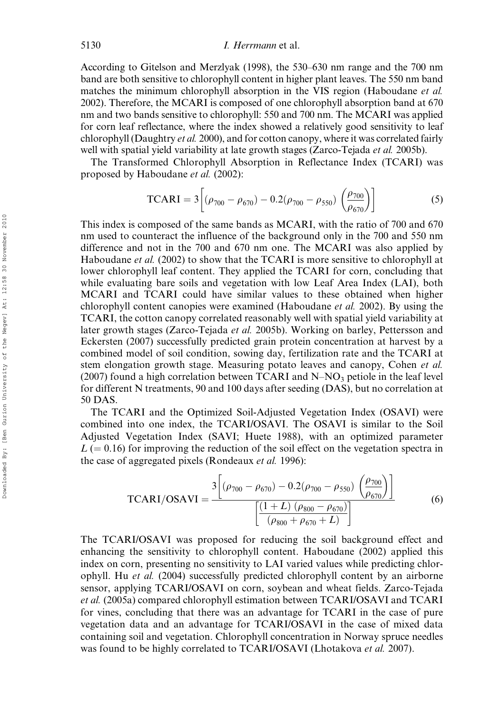According to Gitelson and Merzlyak (1998), the 530–630 nm range and the 700 nm band are both sensitive to chlorophyll content in higher plant leaves. The 550 nm band matches the minimum chlorophyll absorption in the VIS region (Haboudane *et al.*) 2002). Therefore, the MCARI is composed of one chlorophyll absorption band at 670 nm and two bands sensitive to chlorophyll: 550 and 700 nm. The MCARI was applied for corn leaf reflectance, where the index showed a relatively good sensitivity to leaf chlorophyll (Daughtry et al. 2000), and for cotton canopy, where it was correlated fairly well with spatial yield variability at late growth stages (Zarco-Tejada *et al.* 2005b).

The Transformed Chlorophyll Absorption in Reflectance Index (TCARI) was proposed by Haboudane et al. (2002):

$$
TCARI = 3\left[ (\rho_{700} - \rho_{670}) - 0.2(\rho_{700} - \rho_{550}) \left( \frac{\rho_{700}}{\rho_{670}} \right) \right]
$$
 (5)

This index is composed of the same bands as MCARI, with the ratio of 700 and 670 nm used to counteract the influence of the background only in the 700 and 550 nm difference and not in the 700 and 670 nm one. The MCARI was also applied by Haboudane *et al.* (2002) to show that the TCARI is more sensitive to chlorophyll at lower chlorophyll leaf content. They applied the TCARI for corn, concluding that while evaluating bare soils and vegetation with low Leaf Area Index (LAI), both MCARI and TCARI could have similar values to these obtained when higher chlorophyll content canopies were examined (Haboudane et al. 2002). By using the TCARI, the cotton canopy correlated reasonably well with spatial yield variability at later growth stages (Zarco-Tejada *et al.* 2005b). Working on barley, Pettersson and Eckersten (2007) successfully predicted grain protein concentration at harvest by a combined model of soil condition, sowing day, fertilization rate and the TCARI at stem elongation growth stage. Measuring potato leaves and canopy, Cohen et al. (2007) found a high correlation between TCARI and  $N-NO<sub>3</sub>$  petiole in the leaf level for different N treatments, 90 and 100 days after seeding (DAS), but no correlation at 50 DAS.

The TCARI and the Optimized Soil-Adjusted Vegetation Index (OSAVI) were combined into one index, the TCARI/OSAVI. The OSAVI is similar to the Soil Adjusted Vegetation Index (SAVI; Huete 1988), with an optimized parameter  $L (= 0.16)$  for improving the reduction of the soil effect on the vegetation spectra in the case of aggregated pixels (Rondeaux et al. 1996):

$$
\text{TCARI/OSAVI} = \frac{3\left[ (\rho_{700} - \rho_{670}) - 0.2(\rho_{700} - \rho_{550}) \left( \frac{\rho_{700}}{\rho_{670}} \right) \right]}{\left[ \frac{(1+L) (\rho_{800} - \rho_{670})}{(\rho_{800} + \rho_{670} + L)} \right]}
$$
(6)

The TCARI/OSAVI was proposed for reducing the soil background effect and enhancing the sensitivity to chlorophyll content. Haboudane (2002) applied this index on corn, presenting no sensitivity to LAI varied values while predicting chlorophyll. Hu et al. (2004) successfully predicted chlorophyll content by an airborne sensor, applying TCARI/OSAVI on corn, soybean and wheat fields. Zarco-Tejada et al. (2005a) compared chlorophyll estimation between TCARI/OSAVI and TCARI for vines, concluding that there was an advantage for TCARI in the case of pure vegetation data and an advantage for TCARI/OSAVI in the case of mixed data containing soil and vegetation. Chlorophyll concentration in Norway spruce needles was found to be highly correlated to TCARI/OSAVI (Lhotakova et al. 2007).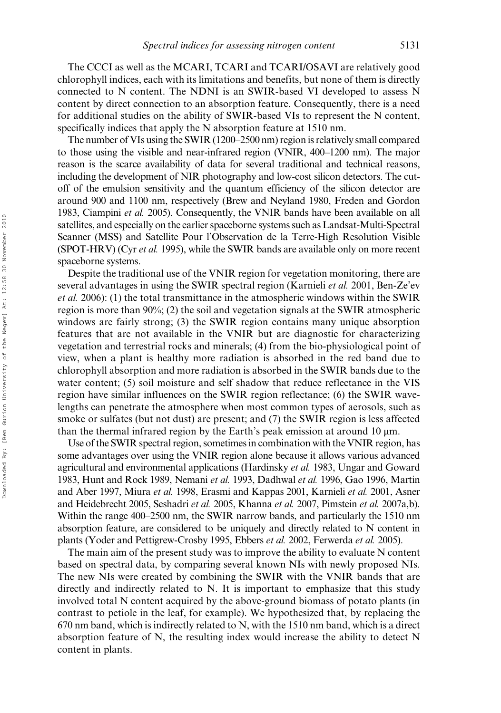The CCCI as well as the MCARI, TCARI and TCARI/OSAVI are relatively good chlorophyll indices, each with its limitations and benefits, but none of them is directly connected to N content. The NDNI is an SWIR-based VI developed to assess N content by direct connection to an absorption feature. Consequently, there is a need for additional studies on the ability of SWIR-based VIs to represent the N content, specifically indices that apply the N absorption feature at 1510 nm.

The number of VIs using the SWIR (1200–2500 nm) region is relatively small compared to those using the visible and near-infrared region (VNIR, 400–1200 nm). The major reason is the scarce availability of data for several traditional and technical reasons, including the development of NIR photography and low-cost silicon detectors. The cutoff of the emulsion sensitivity and the quantum efficiency of the silicon detector are around 900 and 1100 nm, respectively (Brew and Neyland 1980, Freden and Gordon 1983, Ciampini et al. 2005). Consequently, the VNIR bands have been available on all satellites, and especially on the earlier spaceborne systems such as Landsat-Multi-Spectral Scanner (MSS) and Satellite Pour l'Observation de la Terre-High Resolution Visible (SPOT-HRV) (Cyr et al. 1995), while the SWIR bands are available only on more recent spaceborne systems.

Despite the traditional use of the VNIR region for vegetation monitoring, there are several advantages in using the SWIR spectral region (Karnieli *et al.* 2001, Ben-Ze'ev et al. 2006): (1) the total transmittance in the atmospheric windows within the SWIR region is more than 90%; (2) the soil and vegetation signals at the SWIR atmospheric windows are fairly strong; (3) the SWIR region contains many unique absorption features that are not available in the VNIR but are diagnostic for characterizing vegetation and terrestrial rocks and minerals; (4) from the bio-physiological point of view, when a plant is healthy more radiation is absorbed in the red band due to chlorophyll absorption and more radiation is absorbed in the SWIR bands due to the water content; (5) soil moisture and self shadow that reduce reflectance in the VIS region have similar influences on the SWIR region reflectance; (6) the SWIR wavelengths can penetrate the atmosphere when most common types of aerosols, such as smoke or sulfates (but not dust) are present; and (7) the SWIR region is less affected than the thermal infrared region by the Earth's peak emission at around 10  $\mu$ m.

Use of the SWIR spectral region, sometimes in combination with the VNIR region, has some advantages over using the VNIR region alone because it allows various advanced agricultural and environmental applications (Hardinsky et al. 1983, Ungar and Goward 1983, Hunt and Rock 1989, Nemani et al. 1993, Dadhwal et al. 1996, Gao 1996, Martin and Aber 1997, Miura et al. 1998, Erasmi and Kappas 2001, Karnieli et al. 2001, Asner and Heidebrecht 2005, Seshadri et al. 2005, Khanna et al. 2007, Pimstein et al. 2007a,b). Within the range 400–2500 nm, the SWIR narrow bands, and particularly the 1510 nm absorption feature, are considered to be uniquely and directly related to N content in plants (Yoder and Pettigrew-Crosby 1995, Ebbers et al. 2002, Ferwerda et al. 2005).

The main aim of the present study was to improve the ability to evaluate N content based on spectral data, by comparing several known NIs with newly proposed NIs. The new NIs were created by combining the SWIR with the VNIR bands that are directly and indirectly related to N. It is important to emphasize that this study involved total N content acquired by the above-ground biomass of potato plants (in contrast to petiole in the leaf, for example). We hypothesized that, by replacing the 670 nm band, which is indirectly related to N, with the 1510 nm band, which is a direct absorption feature of N, the resulting index would increase the ability to detect N content in plants.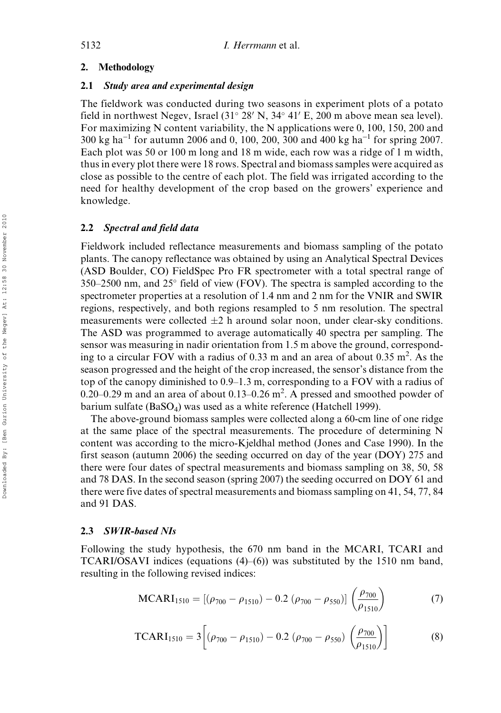## 2. Methodology

## 2.1 Study area and experimental design

The fieldwork was conducted during two seasons in experiment plots of a potato field in northwest Negev, Israel  $(31^{\circ} 28' N, 34^{\circ} 41' E, 200 m$  above mean sea level). For maximizing N content variability, the N applications were 0, 100, 150, 200 and  $300 \text{ kg ha}^{-1}$  for autumn 2006 and 0, 100, 200, 300 and 400 kg ha<sup>-1</sup> for spring 2007. Each plot was 50 or 100 m long and 18 m wide, each row was a ridge of 1 m width, thus in every plot there were 18 rows. Spectral and biomass samples were acquired as close as possible to the centre of each plot. The field was irrigated according to the need for healthy development of the crop based on the growers' experience and knowledge.

## 2.2 Spectral and field data

Fieldwork included reflectance measurements and biomass sampling of the potato plants. The canopy reflectance was obtained by using an Analytical Spectral Devices (ASD Boulder, CO) FieldSpec Pro FR spectrometer with a total spectral range of 350–2500 nm, and 25 field of view (FOV). The spectra is sampled according to the spectrometer properties at a resolution of 1.4 nm and 2 nm for the VNIR and SWIR regions, respectively, and both regions resampled to 5 nm resolution. The spectral measurements were collected  $\pm 2$  h around solar noon, under clear-sky conditions. The ASD was programmed to average automatically 40 spectra per sampling. The sensor was measuring in nadir orientation from 1.5 m above the ground, corresponding to a circular FOV with a radius of 0.33 m and an area of about 0.35  $m^2$ . As the season progressed and the height of the crop increased, the sensor's distance from the top of the canopy diminished to 0.9–1.3 m, corresponding to a FOV with a radius of  $0.20 - 0.29$  m and an area of about  $0.13 - 0.26$  m<sup>2</sup>. A pressed and smoothed powder of barium sulfate (BaSO<sub>4</sub>) was used as a white reference (Hatchell 1999).

The above-ground biomass samples were collected along a 60-cm line of one ridge at the same place of the spectral measurements. The procedure of determining N content was according to the micro-Kjeldhal method (Jones and Case 1990). In the first season (autumn 2006) the seeding occurred on day of the year (DOY) 275 and there were four dates of spectral measurements and biomass sampling on 38, 50, 58 and 78 DAS. In the second season (spring 2007) the seeding occurred on DOY 61 and there were five dates of spectral measurements and biomass sampling on 41, 54, 77, 84 and 91 DAS.

## 2.3 SWIR-based NIs

Following the study hypothesis, the 670 nm band in the MCARI, TCARI and TCARI/OSAVI indices (equations (4)–(6)) was substituted by the 1510 nm band, resulting in the following revised indices:

$$
MCARI_{1510} = [(\rho_{700} - \rho_{1510}) - 0.2 (\rho_{700} - \rho_{550})] \left(\frac{\rho_{700}}{\rho_{1510}}\right)
$$
 (7)

$$
TCARI1510 = 3 \left[ (\rho_{700} - \rho_{1510}) - 0.2 (\rho_{700} - \rho_{550}) \left( \frac{\rho_{700}}{\rho_{1510}} \right) \right]
$$
 (8)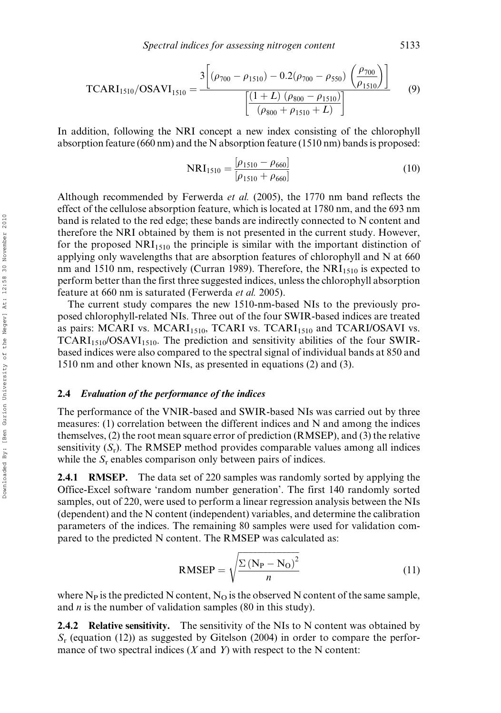$$
\text{TCARI}_{1510}/\text{OSAVI}_{1510} = \frac{3 \left[ (\rho_{700} - \rho_{1510}) - 0.2(\rho_{700} - \rho_{550}) \left( \frac{\rho_{700}}{\rho_{1510}} \right) \right]}{\left[ \frac{(1+L) (\rho_{800} - \rho_{1510})}{(\rho_{800} + \rho_{1510} + L)} \right]}
$$
(9)

In addition, following the NRI concept a new index consisting of the chlorophyll absorption feature (660 nm) and the N absorption feature (1510 nm) bands is proposed:

$$
NRI_{1510} = \frac{[\rho_{1510} - \rho_{660}]}{[\rho_{1510} + \rho_{660}]}
$$
(10)

Although recommended by Ferwerda et al. (2005), the 1770 nm band reflects the effect of the cellulose absorption feature, which is located at 1780 nm, and the 693 nm band is related to the red edge; these bands are indirectly connected to N content and therefore the NRI obtained by them is not presented in the current study. However, for the proposed  $NRI<sub>1510</sub>$  the principle is similar with the important distinction of applying only wavelengths that are absorption features of chlorophyll and N at 660 nm and 1510 nm, respectively (Curran 1989). Therefore, the  $NRI<sub>1510</sub>$  is expected to perform better than the first three suggested indices, unless the chlorophyll absorption feature at 660 nm is saturated (Ferwerda et al. 2005).

The current study compares the new 1510-nm-based NIs to the previously proposed chlorophyll-related NIs. Three out of the four SWIR-based indices are treated as pairs: MCARI vs. MCARI<sub>1510</sub>, TCARI vs. TCARI<sub>1510</sub> and TCARI/OSAVI vs.  $TCARI<sub>1510</sub>/OSAVI<sub>1510</sub>$ . The prediction and sensitivity abilities of the four SWIRbased indices were also compared to the spectral signal of individual bands at 850 and 1510 nm and other known NIs, as presented in equations (2) and (3).

#### 2.4 Evaluation of the performance of the indices

The performance of the VNIR-based and SWIR-based NIs was carried out by three measures: (1) correlation between the different indices and N and among the indices themselves, (2) the root mean square error of prediction (RMSEP), and (3) the relative sensitivity  $(S_r)$ . The RMSEP method provides comparable values among all indices while the  $S_r$  enables comparison only between pairs of indices.

2.4.1 RMSEP. The data set of 220 samples was randomly sorted by applying the Office-Excel software 'random number generation'. The first 140 randomly sorted samples, out of 220, were used to perform a linear regression analysis between the NIs (dependent) and the N content (independent) variables, and determine the calibration parameters of the indices. The remaining 80 samples were used for validation compared to the predicted N content. The RMSEP was calculated as:

$$
RMSEP = \sqrt{\frac{\sum (N_P - N_O)^2}{n}}
$$
 (11)

where  $N_P$  is the predicted N content,  $N_Q$  is the observed N content of the same sample, and *n* is the number of validation samples (80 in this study).

**2.4.2** Relative sensitivity. The sensitivity of the NIs to N content was obtained by  $S_r$  (equation (12)) as suggested by Gitelson (2004) in order to compare the performance of two spectral indices  $(X \text{ and } Y)$  with respect to the N content: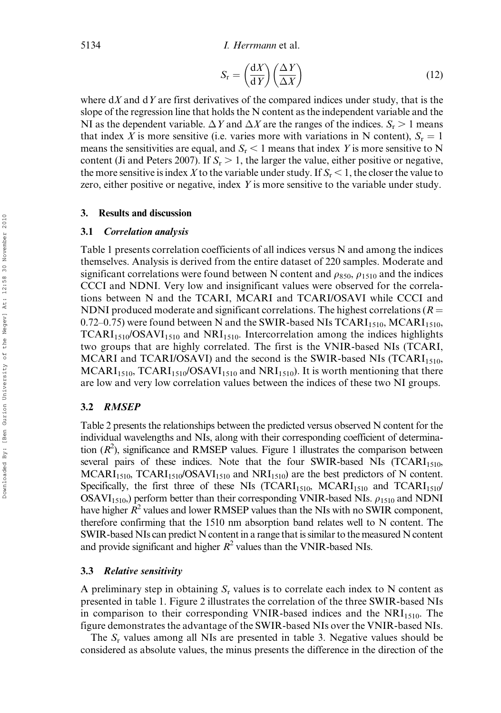$$
S_{\rm r} = \left(\frac{\mathrm{d}X}{\mathrm{d}Y}\right)\left(\frac{\Delta Y}{\Delta X}\right) \tag{12}
$$

where  $dX$  and  $dY$  are first derivatives of the compared indices under study, that is the slope of the regression line that holds the N content as the independent variable and the NI as the dependent variable.  $\Delta Y$  and  $\Delta X$  are the ranges of the indices.  $S_r > 1$  means that index X is more sensitive (i.e. varies more with variations in N content),  $S_r = 1$ means the sensitivities are equal, and  $S_r < 1$  means that index Y is more sensitive to N content (Ji and Peters 2007). If  $S_r > 1$ , the larger the value, either positive or negative, the more sensitive is index X to the variable under study. If  $S_r < 1$ , the closer the value to zero, either positive or negative, index Y is more sensitive to the variable under study.

#### 3. Results and discussion

#### 3.1 Correlation analysis

Table 1 presents correlation coefficients of all indices versus N and among the indices themselves. Analysis is derived from the entire dataset of 220 samples. Moderate and significant correlations were found between N content and  $\rho_{850}$ ,  $\rho_{1510}$  and the indices CCCI and NDNI. Very low and insignificant values were observed for the correlations between N and the TCARI, MCARI and TCARI/OSAVI while CCCI and NDNI produced moderate and significant correlations. The highest correlations ( $R =$ 0.72–0.75) were found between N and the SWIR-based NIs  $TCARI<sub>1510</sub>$ , MCARI<sub>1510</sub>,  $TCARI<sub>1510</sub>/OSAVI<sub>1510</sub>$  and  $NRI<sub>1510</sub>$ . Intercorrelation among the indices highlights two groups that are highly correlated. The first is the VNIR-based NIs (TCARI, MCARI and TCARI/OSAVI) and the second is the SWIR-based NIs (TCARI<sub>1510</sub>,  $MCARI<sub>1510</sub>, TCARI<sub>1510</sub>/OSAVI<sub>1510</sub>$  and  $NRI<sub>1510</sub>$ ). It is worth mentioning that there are low and very low correlation values between the indices of these two NI groups.

## 3.2 RMSEP

Table 2 presents the relationships between the predicted versus observed N content for the individual wavelengths and NIs, along with their corresponding coefficient of determination  $(R^2)$ , significance and RMSEP values. Figure 1 illustrates the comparison between several pairs of these indices. Note that the four SWIR-based NIs  $(TCARI<sub>1510</sub>)$  $MCARI<sub>1510</sub> TCARI<sub>1510</sub>/OSAVI<sub>1510</sub>$  and  $NRI<sub>1510</sub>$  are the best predictors of N content. Specifically, the first three of these NIs (TCARI<sub>1510</sub>, MCARI<sub>1510</sub> and TCARI<sub>1510</sub>/ OSAVI<sub>1510</sub>, perform better than their corresponding VNIR-based NIs.  $\rho_{1510}$  and NDNI have higher  $\hat{R}^2$  values and lower RMSEP values than the NIs with no SWIR component, therefore confirming that the 1510 nm absorption band relates well to N content. The SWIR-based NIs can predict N content in a range that is similar to the measured N content and provide significant and higher  $R^2$  values than the VNIR-based NIs.

#### 3.3 Relative sensitivity

A preliminary step in obtaining  $S_r$  values is to correlate each index to N content as presented in table 1. Figure 2 illustrates the correlation of the three SWIR-based NIs in comparison to their corresponding VNIR-based indices and the  $NRI<sub>1510</sub>$ . The figure demonstrates the advantage of the SWIR-based NIs over the VNIR-based NIs.

The  $S_r$  values among all NIs are presented in table 3. Negative values should be considered as absolute values, the minus presents the difference in the direction of the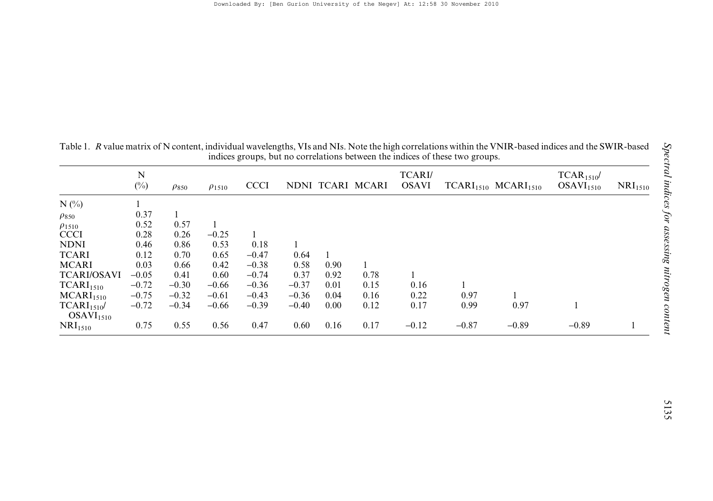| nimes groups, our no solismations oscarsen and marses of messe each spoups. |             |              |               |             |         |      |                  |                              |         |                       |                                       |                       |
|-----------------------------------------------------------------------------|-------------|--------------|---------------|-------------|---------|------|------------------|------------------------------|---------|-----------------------|---------------------------------------|-----------------------|
|                                                                             | N<br>$(\%)$ | $\rho_{850}$ | $\rho_{1510}$ | <b>CCCI</b> |         |      | NDNI TCARI MCARI | <b>TCARI</b><br><b>OSAVI</b> |         | $TCARI1510 MCARI1510$ | $TCAR1510$ /<br>OSAVI <sub>1510</sub> | $\mathrm{NRI}_{1510}$ |
| $N$ (%)                                                                     |             |              |               |             |         |      |                  |                              |         |                       |                                       |                       |
| $\rho_{850}$                                                                | 0.37        |              |               |             |         |      |                  |                              |         |                       |                                       |                       |
| $\rho_{1510}$                                                               | 0.52        | 0.57         |               |             |         |      |                  |                              |         |                       |                                       |                       |
| <b>CCCI</b>                                                                 | 0.28        | 0.26         | $-0.25$       |             |         |      |                  |                              |         |                       |                                       |                       |
| <b>NDNI</b>                                                                 | 0.46        | 0.86         | 0.53          | 0.18        |         |      |                  |                              |         |                       |                                       |                       |
| <b>TCARI</b>                                                                | 0.12        | 0.70         | 0.65          | $-0.47$     | 0.64    |      |                  |                              |         |                       |                                       |                       |
| <b>MCARI</b>                                                                | 0.03        | 0.66         | 0.42          | $-0.38$     | 0.58    | 0.90 |                  |                              |         |                       |                                       |                       |
| <b>TCARI/OSAVI</b>                                                          | $-0.05$     | 0.41         | 0.60          | $-0.74$     | 0.37    | 0.92 | 0.78             |                              |         |                       |                                       |                       |
| TCARI <sub>1510</sub>                                                       | $-0.72$     | $-0.30$      | $-0.66$       | $-0.36$     | $-0.37$ | 0.01 | 0.15             | 0.16                         |         |                       |                                       |                       |
| MCARI <sub>1510</sub>                                                       | $-0.75$     | $-0.32$      | $-0.61$       | $-0.43$     | $-0.36$ | 0.04 | 0.16             | 0.22                         | 0.97    |                       |                                       |                       |
| TCARI <sub>1510</sub><br>OSAVI <sub>1510</sub>                              | $-0.72$     | $-0.34$      | $-0.66$       | $-0.39$     | $-0.40$ | 0.00 | 0.12             | 0.17                         | 0.99    | 0.97                  |                                       |                       |
| NRI <sub>1510</sub>                                                         | 0.75        | 0.55         | 0.56          | 0.47        | 0.60    | 0.16 | 0.17             | $-0.12$                      | $-0.87$ | $-0.89$               | $-0.89$                               |                       |

Table 1. R value matrix of N content, individual wavelengths, VIs and NIs. Note the high correlations within the VNIR-based indices and the SWIR-based indices groups, but no correlations between the indices of these two gr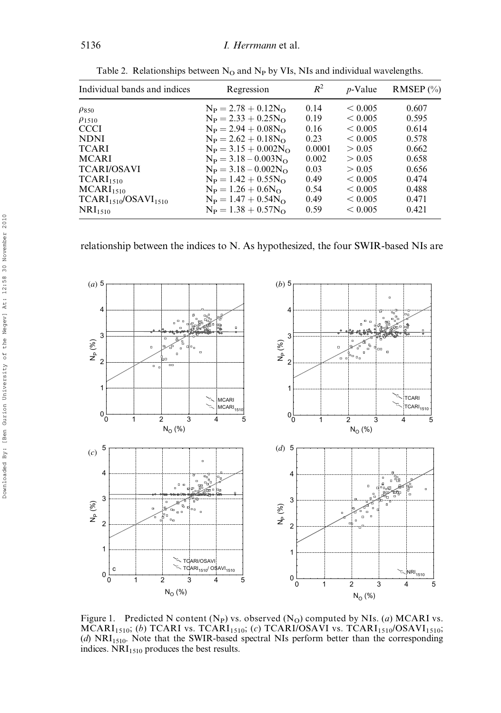| Individual bands and indices | Regression               | $R^2$  | $p$ -Value  | RMSEP $(\%$ |
|------------------------------|--------------------------|--------|-------------|-------------|
| $\rho_{850}$                 | $N_P = 2.78 + 0.12 N_O$  | 0.14   | ${}< 0.005$ | 0.607       |
| $\rho_{1510}$                | $N_P = 2.33 + 0.25 N_O$  | 0.19   | < 0.005     | 0.595       |
| <b>CCCI</b>                  | $N_P = 2.94 + 0.08 N_O$  | 0.16   | < 0.005     | 0.614       |
| <b>NDNI</b>                  | $N_P = 2.62 + 0.18 N_O$  | 0.23   | < 0.005     | 0.578       |
| <b>TCARI</b>                 | $N_P = 3.15 + 0.002N_O$  | 0.0001 | > 0.05      | 0.662       |
| <b>MCARI</b>                 | $N_P = 3.18 - 0.003 N_O$ | 0.002  | > 0.05      | 0.658       |
| <b>TCARI/OSAVI</b>           | $N_P = 3.18 - 0.002N_O$  | 0.03   | > 0.05      | 0.656       |
| TCARI <sub>1510</sub>        | $N_P = 1.42 + 0.55N_O$   | 0.49   | < 0.005     | 0.474       |
| MCARI <sub>1510</sub>        | $N_P = 1.26 + 0.6N_O$    | 0.54   | < 0.005     | 0.488       |
| $TCARI1510/OSAVI1510$        | $N_P = 1.47 + 0.54 N_O$  | 0.49   | < 0.005     | 0.471       |
| NRI <sub>1510</sub>          | $N_P = 1.38 + 0.57 N_O$  | 0.59   | < 0.005     | 0.421       |

Table 2. Relationships between  $N_O$  and  $N_P$  by VIs, NIs and individual wavelengths.

relationship between the indices to N. As hypothesized, the four SWIR-based NIs are



Figure 1. Predicted N content (N<sub>P</sub>) vs. observed (N<sub>O</sub>) computed by NIs. (a) MCARI vs.  $MCARI<sub>1510</sub>; (b) TCARI vs. TCARI<sub>1510</sub>; (c) TCARI/OSAVI vs. TCARI<sub>1510</sub>/OSAVI<sub>1510</sub>;$  $(d)$  NRI<sub>1510</sub>. Note that the SWIR-based spectral NIs perform better than the corresponding indices.  $NRI<sub>1510</sub>$  produces the best results.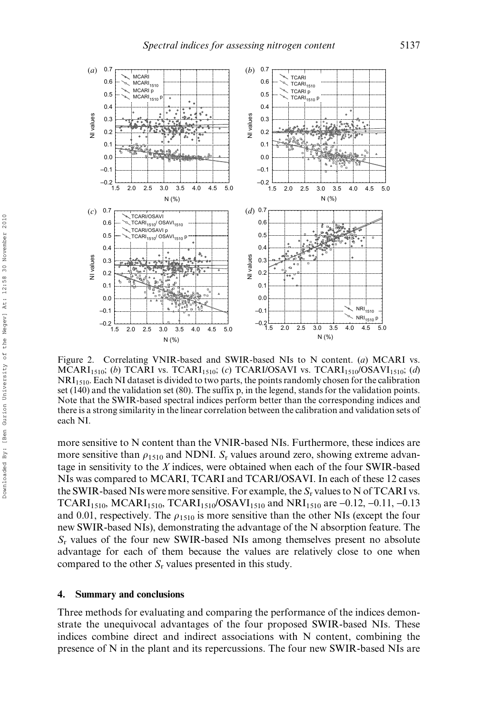

Figure 2. Correlating VNIR-based and SWIR-based NIs to N content. (a) MCARI vs. MCARI<sub>1510</sub>; (b) TCARI vs. TCARI<sub>1510</sub>; (c) TCARI/OSAVI vs. TCARI<sub>1510</sub>/OSAVI<sub>1510</sub>; (d) NRI1510. Each NI dataset is divided to two parts, the points randomly chosen for the calibration set (140) and the validation set (80). The suffix p, in the legend, stands for the validation points. Note that the SWIR-based spectral indices perform better than the corresponding indices and there is a strong similarity in the linear correlation between the calibration and validation sets of each NI.

more sensitive to N content than the VNIR-based NIs. Furthermore, these indices are more sensitive than  $\rho_{1510}$  and NDNI. S<sub>r</sub> values around zero, showing extreme advantage in sensitivity to the  $X$  indices, were obtained when each of the four SWIR-based NIs was compared to MCARI, TCARI and TCARI/OSAVI. In each of these 12 cases the SWIR-based NIs were more sensitive. For example, the  $S_r$  values to N of TCARI vs. TCARI<sub>1510</sub>, MCARI<sub>1510</sub>, TCARI<sub>1510</sub>/OSAVI<sub>1510</sub> and NRI<sub>1510</sub> are -0.12, -0.11, -0.13 and 0.01, respectively. The  $\rho_{1510}$  is more sensitive than the other NIs (except the four new SWIR-based NIs), demonstrating the advantage of the N absorption feature. The  $S_r$  values of the four new SWIR-based NIs among themselves present no absolute advantage for each of them because the values are relatively close to one when compared to the other  $S_r$  values presented in this study.

### 4. Summary and conclusions

Three methods for evaluating and comparing the performance of the indices demonstrate the unequivocal advantages of the four proposed SWIR-based NIs. These indices combine direct and indirect associations with N content, combining the presence of N in the plant and its repercussions. The four new SWIR-based NIs are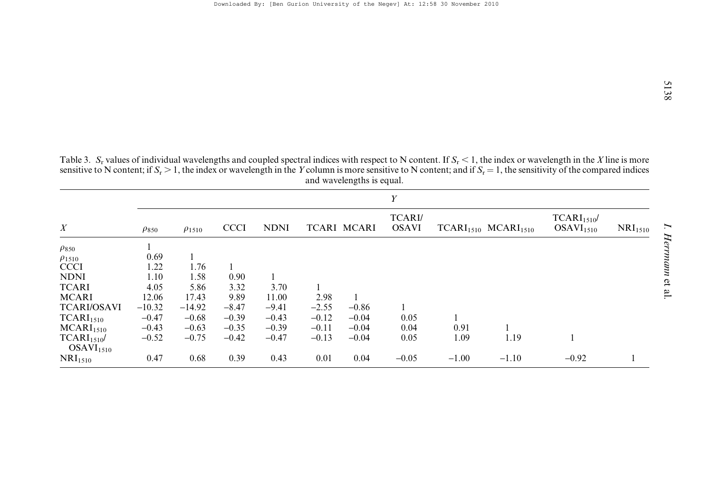Table 3.  $S_r$  values of individual wavelengths and coupled spectral indices with respect to N content. If  $S_r < 1$ , the index or wavelength in the *X* line is more sensitive to N content; and if  $S_r = 1$ , the sensitivity of and wavelengths is equal.

| $\boldsymbol{X}$                               | Y            |               |             |             |         |                    |                              |         |                       |                                                |                     |
|------------------------------------------------|--------------|---------------|-------------|-------------|---------|--------------------|------------------------------|---------|-----------------------|------------------------------------------------|---------------------|
|                                                | $\rho_{850}$ | $\rho_{1510}$ | <b>CCCI</b> | <b>NDNI</b> |         | <b>TCARI MCARI</b> | <b>TCARI</b><br><b>OSAVI</b> |         | $TCARI1510 MCARI1510$ | TCARI <sub>1510</sub><br>OSAVI <sub>1510</sub> | NRI <sub>1510</sub> |
| $\rho_{850}$                                   |              |               |             |             |         |                    |                              |         |                       |                                                |                     |
| $\rho_{1510}$                                  | 0.69         |               |             |             |         |                    |                              |         |                       |                                                |                     |
| <b>CCCI</b>                                    | 1.22         | 1.76          |             |             |         |                    |                              |         |                       |                                                |                     |
| <b>NDNI</b>                                    | 1.10         | 1.58          | 0.90        |             |         |                    |                              |         |                       |                                                |                     |
| <b>TCARI</b>                                   | 4.05         | 5.86          | 3.32        | 3.70        |         |                    |                              |         |                       |                                                |                     |
| <b>MCARI</b>                                   | 12.06        | 17.43         | 9.89        | 11.00       | 2.98    |                    |                              |         |                       |                                                |                     |
| <b>TCARI/OSAVI</b>                             | $-10.32$     | $-14.92$      | $-8.47$     | $-9.41$     | $-2.55$ | $-0.86$            |                              |         |                       |                                                |                     |
| TCARI <sub>1510</sub>                          | $-0.47$      | $-0.68$       | $-0.39$     | $-0.43$     | $-0.12$ | $-0.04$            | 0.05                         |         |                       |                                                |                     |
| MCARI <sub>1510</sub>                          | $-0.43$      | $-0.63$       | $-0.35$     | $-0.39$     | $-0.11$ | $-0.04$            | 0.04                         | 0.91    |                       |                                                |                     |
| TCARI <sub>1510</sub><br>OSAVI <sub>1510</sub> | $-0.52$      | $-0.75$       | $-0.42$     | $-0.47$     | $-0.13$ | $-0.04$            | 0.05                         | 1.09    | 1.19                  |                                                |                     |
| NRI <sub>1510</sub>                            | 0.47         | 0.68          | 0.39        | 0.43        | 0.01    | 0.04               | $-0.05$                      | $-1.00$ | $-1.10$               | $-0.92$                                        |                     |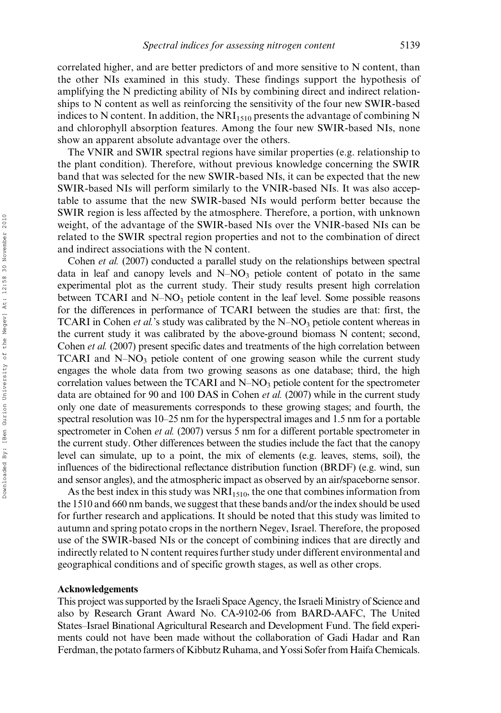correlated higher, and are better predictors of and more sensitive to N content, than the other NIs examined in this study. These findings support the hypothesis of amplifying the N predicting ability of NIs by combining direct and indirect relationships to N content as well as reinforcing the sensitivity of the four new SWIR-based indices to N content. In addition, the  $NRI<sub>1510</sub>$  presents the advantage of combining N and chlorophyll absorption features. Among the four new SWIR-based NIs, none show an apparent absolute advantage over the others.

The VNIR and SWIR spectral regions have similar properties (e.g. relationship to the plant condition). Therefore, without previous knowledge concerning the SWIR band that was selected for the new SWIR-based NIs, it can be expected that the new SWIR-based NIs will perform similarly to the VNIR-based NIs. It was also acceptable to assume that the new SWIR-based NIs would perform better because the SWIR region is less affected by the atmosphere. Therefore, a portion, with unknown weight, of the advantage of the SWIR-based NIs over the VNIR-based NIs can be related to the SWIR spectral region properties and not to the combination of direct and indirect associations with the N content.

Cohen et al. (2007) conducted a parallel study on the relationships between spectral data in leaf and canopy levels and  $N-NO<sub>3</sub>$  petiole content of potato in the same experimental plot as the current study. Their study results present high correlation between TCARI and  $N-NO_3$  petiole content in the leaf level. Some possible reasons for the differences in performance of TCARI between the studies are that: first, the TCARI in Cohen *et al.*'s study was calibrated by the  $N-NO<sub>3</sub>$  petiole content whereas in the current study it was calibrated by the above-ground biomass N content; second, Cohen et al. (2007) present specific dates and treatments of the high correlation between TCARI and  $N-NO<sub>3</sub>$  petiole content of one growing season while the current study engages the whole data from two growing seasons as one database; third, the high correlation values between the TCARI and  $N-NO<sub>3</sub>$  petiole content for the spectrometer data are obtained for 90 and 100 DAS in Cohen *et al.* (2007) while in the current study only one date of measurements corresponds to these growing stages; and fourth, the spectral resolution was 10–25 nm for the hyperspectral images and 1.5 nm for a portable spectrometer in Cohen *et al.* (2007) versus 5 nm for a different portable spectrometer in the current study. Other differences between the studies include the fact that the canopy level can simulate, up to a point, the mix of elements (e.g. leaves, stems, soil), the influences of the bidirectional reflectance distribution function (BRDF) (e.g. wind, sun and sensor angles), and the atmospheric impact as observed by an air/spaceborne sensor.

As the best index in this study was  $NRI<sub>1510</sub>$ , the one that combines information from the 1510 and 660 nm bands, we suggest that these bands and/or the index should be used for further research and applications. It should be noted that this study was limited to autumn and spring potato crops in the northern Negev, Israel. Therefore, the proposed use of the SWIR-based NIs or the concept of combining indices that are directly and indirectly related to N content requires further study under different environmental and geographical conditions and of specific growth stages, as well as other crops.

#### Acknowledgements

This project was supported by the Israeli Space Agency, the Israeli Ministry of Science and also by Research Grant Award No. CA-9102-06 from BARD-AAFC, The United States–Israel Binational Agricultural Research and Development Fund. The field experiments could not have been made without the collaboration of Gadi Hadar and Ran Ferdman, the potato farmers of Kibbutz Ruhama, and Yossi Sofer from Haifa Chemicals.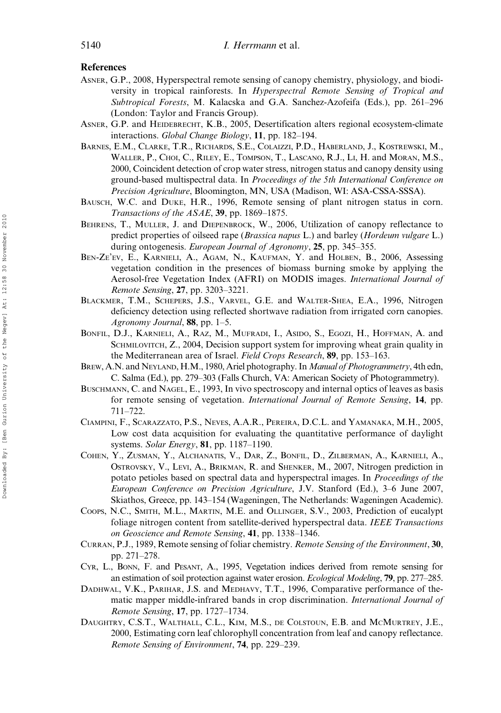#### References

- ASNER, G.P., 2008, Hyperspectral remote sensing of canopy chemistry, physiology, and biodiversity in tropical rainforests. In Hyperspectral Remote Sensing of Tropical and Subtropical Forests, M. Kalacska and G.A. Sanchez-Azofeifa (Eds.), pp. 261–296 (London: Taylor and Francis Group).
- ASNER, G.P. and HEIDEBRECHT, K.B., 2005, Desertification alters regional ecosystem-climate interactions. Global Change Biology, 11, pp. 182–194.
- BARNES, E.M., CLARKE, T.R., RICHARDS, S.E., COLAIZZI, P.D., HABERLAND, J., KOSTREWSKI, M., WALLER, P., CHOI, C., RILEY, E., TOMPSON, T., LASCANO, R.J., LI, H. and MORAN, M.S., 2000, Coincident detection of crop water stress, nitrogen status and canopy density using ground-based multispectral data. In Proceedings of the 5th International Conference on Precision Agriculture, Bloomington, MN, USA (Madison, WI: ASA-CSSA-SSSA).
- BAUSCH, W.C. and DUKE, H.R., 1996, Remote sensing of plant nitrogen status in corn. Transactions of the ASAE, 39, pp. 1869–1875.
- BEHRENS, T., MULLER, J. and DIEPENBROCK, W., 2006, Utilization of canopy reflectance to predict properties of oilseed rape (Brassica napus L.) and barley (Hordeum vulgare L.) during ontogenesis. *European Journal of Agronomy*, 25, pp. 345–355.
- BEN-ZE'EV, E., KARNIELI, A., AGAM, N., KAUFMAN, Y. and HOLBEN, B., 2006, Assessing vegetation condition in the presences of biomass burning smoke by applying the Aerosol-free Vegetation Index (AFRI) on MODIS images. International Journal of Remote Sensing, 27, pp. 3203–3221.
- BLACKMER, T.M., SCHEPERS, J.S., VARVEL, G.E. and WALTER-SHEA, E.A., 1996, Nitrogen deficiency detection using reflected shortwave radiation from irrigated corn canopies. Agronomy Journal, 88, pp. 1–5.
- BONFIL, D.J., KARNIELI, A., RAZ, M., MUFRADI, I., ASIDO, S., EGOZI, H., HOFFMAN, A. and SCHMILOVITCH, Z., 2004, Decision support system for improving wheat grain quality in the Mediterranean area of Israel. Field Crops Research, 89, pp. 153–163.
- BREW, A.N. and NEYLAND, H.M., 1980, Ariel photography. In Manual of Photogrammetry, 4th edn, C. Salma (Ed.), pp. 279–303 (Falls Church, VA: American Society of Photogrammetry).
- BUSCHMANN, C. and NAGEL, E., 1993, In vivo spectroscopy and internal optics of leaves as basis for remote sensing of vegetation. International Journal of Remote Sensing, 14, pp. 711–722.
- CIAMPINI, F., SCARAZZATO, P.S., NEVES, A.A.R., PEREIRA, D.C.L. and YAMANAKA, M.H., 2005, Low cost data acquisition for evaluating the quantitative performance of daylight systems. Solar Energy, 81, pp. 1187–1190.
- COHEN, Y., ZUSMAN, Y., ALCHANATIS, V., DAR, Z., BONFIL, D., ZILBERMAN, A., KARNIELI, A., OSTROVSKY, V., LEVI, A., BRIKMAN, R. and SHENKER, M., 2007, Nitrogen prediction in potato petioles based on spectral data and hyperspectral images. In Proceedings of the European Conference on Precision Agriculture, J.V. Stanford (Ed.), 3–6 June 2007, Skiathos, Greece, pp. 143–154 (Wageningen, The Netherlands: Wageningen Academic).
- COOPS, N.C., SMITH, M.L., MARTIN, M.E. and OLLINGER, S.V., 2003, Prediction of eucalypt foliage nitrogen content from satellite-derived hyperspectral data. IEEE Transactions on Geoscience and Remote Sensing, 41, pp. 1338–1346.
- CURRAN, P.J., 1989, Remote sensing of foliar chemistry. Remote Sensing of the Environment, 30, pp. 271–278.
- CYR, L., BONN, F. and PESANT, A., 1995, Vegetation indices derived from remote sensing for an estimation of soil protection against water erosion. Ecological Modeling, 79, pp. 277–285.
- DADHWAL, V.K., PARIHAR, J.S. and MEDHAVY, T.T., 1996, Comparative performance of thematic mapper middle-infrared bands in crop discrimination. International Journal of Remote Sensing, 17, pp. 1727–1734.
- DAUGHTRY, C.S.T., WALTHALL, C.L., KIM, M.S., DE COLSTOUN, E.B. and MCMURTREY, J.E., 2000, Estimating corn leaf chlorophyll concentration from leaf and canopy reflectance. Remote Sensing of Environment, 74, pp. 229–239.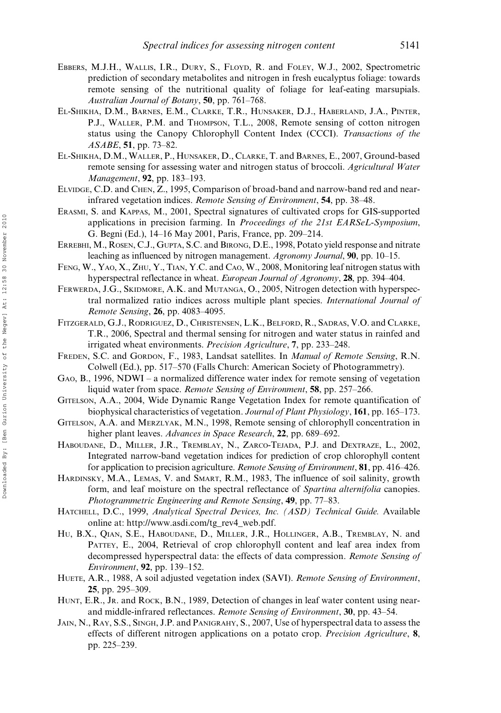- EBBERS, M.J.H., WALLIS, I.R., DURY, S., FLOYD, R. and FOLEY, W.J., 2002, Spectrometric prediction of secondary metabolites and nitrogen in fresh eucalyptus foliage: towards remote sensing of the nutritional quality of foliage for leaf-eating marsupials. Australian Journal of Botany, 50, pp. 761–768.
- EL-SHIKHA, D.M., BARNES, E.M., CLARKE, T.R., HUNSAKER, D.J., HABERLAND, J.A., PINTER, P.J., WALLER, P.M. and THOMPSON, T.L., 2008, Remote sensing of cotton nitrogen status using the Canopy Chlorophyll Content Index (CCCI). Transactions of the ASABE, 51, pp. 73–82.
- EL-SHIKHA, D.M., WALLER, P., HUNSAKER, D., CLARKE, T. and BARNES, E., 2007, Ground-based remote sensing for assessing water and nitrogen status of broccoli. Agricultural Water Management, 92, pp. 183–193.
- ELVIDGE, C.D. and CHEN, Z., 1995, Comparison of broad-band and narrow-band red and nearinfrared vegetation indices. Remote Sensing of Environment, 54, pp. 38–48.
- ERASMI, S. and KAPPAS, M., 2001, Spectral signatures of cultivated crops for GIS-supported applications in precision farming. In Proceedings of the 21st EARSeL-Symposium, G. Begni (Ed.), 14–16 May 2001, Paris, France, pp. 209–214.
- ERREBHI, M., ROSEN, C.J., GUPTA, S.C. and BIRONG, D.E., 1998, Potato yield response and nitrate leaching as influenced by nitrogen management. Agronomy Journal, 90, pp. 10–15.
- FENG, W., YAO, X., ZHU, Y., TIAN, Y.C. and CAO, W., 2008, Monitoring leaf nitrogen status with hyperspectral reflectance in wheat. European Journal of Agronomy, 28, pp. 394–404.
- FERWERDA, J.G., SKIDMORE, A.K. and MUTANGA, O., 2005, Nitrogen detection with hyperspectral normalized ratio indices across multiple plant species. International Journal of Remote Sensing, 26, pp. 4083–4095.
- FITZGERALD, G.J., RODRIGUEZ, D., CHRISTENSEN, L.K., BELFORD, R., SADRAS, V.O. and CLARKE, T.R., 2006, Spectral and thermal sensing for nitrogen and water status in rainfed and irrigated wheat environments. Precision Agriculture, 7, pp. 233–248.
- FREDEN, S.C. and GORDON, F., 1983, Landsat satellites. In Manual of Remote Sensing, R.N. Colwell (Ed.), pp. 517–570 (Falls Church: American Society of Photogrammetry).
- GAO, B., 1996, NDWI a normalized difference water index for remote sensing of vegetation liquid water from space. Remote Sensing of Environment, 58, pp. 257–266.
- GITELSON, A.A., 2004, Wide Dynamic Range Vegetation Index for remote quantification of biophysical characteristics of vegetation. Journal of Plant Physiology, 161, pp. 165–173.
- GITELSON, A.A. and MERZLYAK, M.N., 1998, Remote sensing of chlorophyll concentration in higher plant leaves. Advances in Space Research, 22, pp. 689–692.
- HABOUDANE, D., MILLER, J.R., TREMBLAY, N., ZARCO-TEJADA, P.J. and DEXTRAZE, L., 2002, Integrated narrow-band vegetation indices for prediction of crop chlorophyll content for application to precision agriculture. Remote Sensing of Environment, 81, pp. 416–426.
- HARDINSKY, M.A., LEMAS, V. and SMART, R.M., 1983, The influence of soil salinity, growth form, and leaf moisture on the spectral reflectance of Spartina alternifolia canopies. Photogrammetric Engineering and Remote Sensing, 49, pp. 77-83.
- HATCHELL, D.C., 1999, Analytical Spectral Devices, Inc. (ASD) Technical Guide. Available online at: http://www.asdi.com/tg\_rev4\_web.pdf.
- HU, B.X., QIAN, S.E., HABOUDANE, D., MILLER, J.R., HOLLINGER, A.B., TREMBLAY, N. and PATTEY, E., 2004, Retrieval of crop chlorophyll content and leaf area index from decompressed hyperspectral data: the effects of data compression. Remote Sensing of Environment, 92, pp. 139–152.
- HUETE, A.R., 1988, A soil adjusted vegetation index (SAVI). Remote Sensing of Environment, 25, pp. 295–309.
- HUNT, E.R., JR. and ROCK, B.N., 1989, Detection of changes in leaf water content using nearand middle-infrared reflectances. Remote Sensing of Environment, 30, pp. 43–54.
- JAIN, N., RAY, S.S., SINGH, J.P. and PANIGRAHY, S., 2007, Use of hyperspectral data to assess the effects of different nitrogen applications on a potato crop. *Precision Agriculture*, 8, pp. 225–239.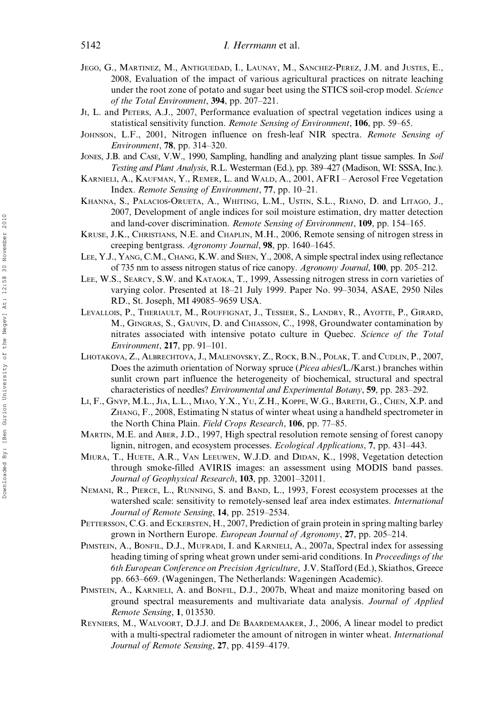- JEGO, G., MARTINEZ, M., ANTIGUEDAD, I., LAUNAY, M., SANCHEZ-PEREZ, J.M. and JUSTES, E., 2008, Evaluation of the impact of various agricultural practices on nitrate leaching under the root zone of potato and sugar beet using the STICS soil-crop model. Science of the Total Environment, 394, pp. 207–221.
- JI, L. and PETERS, A.J., 2007, Performance evaluation of spectral vegetation indices using a statistical sensitivity function. Remote Sensing of Environment, 106, pp. 59–65.
- JOHNSON, L.F., 2001, Nitrogen influence on fresh-leaf NIR spectra. Remote Sensing of Environment, 78, pp. 314–320.
- JONES, J.B. and CASE, V.W., 1990, Sampling, handling and analyzing plant tissue samples. In Soil Testing and Plant Analysis, R.L. Westerman (Ed.), pp. 389–427 (Madison, WI: SSSA, Inc.).
- KARNIELI, A., KAUFMAN, Y., REMER, L. and WALD, A., 2001, AFRI Aerosol Free Vegetation Index. Remote Sensing of Environment, 77, pp. 10–21.
- KHANNA, S., PALACIOS-ORUETA, A., WHITING, L.M., USTIN, S.L., RIANO, D. and LITAGO, J., 2007, Development of angle indices for soil moisture estimation, dry matter detection and land-cover discrimination. Remote Sensing of Environment, 109, pp. 154–165.
- KRUSE, J.K., CHRISTIANS, N.E. and CHAPLIN, M.H., 2006, Remote sensing of nitrogen stress in creeping bentgrass. Agronomy Journal, 98, pp. 1640–1645.
- LEE, Y.J., YANG, C.M., CHANG, K.W. and SHEN, Y., 2008, A simple spectral index using reflectance of 735 nm to assess nitrogen status of rice canopy. Agronomy Journal, 100, pp. 205–212.
- LEE, W.S., SEARCY, S.W. and KATAOKA, T., 1999, Assessing nitrogen stress in corn varieties of varying color. Presented at 18–21 July 1999. Paper No. 99–3034, ASAE, 2950 Niles RD., St. Joseph, MI 49085–9659 USA.
- LEVALLOIS, P., THERIAULT, M., ROUFFIGNAT, J., TESSIER, S., LANDRY, R., AYOTTE, P., GIRARD, M., GINGRAS, S., GAUVIN, D. and CHIASSON, C., 1998, Groundwater contamination by nitrates associated with intensive potato culture in Quebec. Science of the Total Environment, 217, pp. 91–101.
- LHOTAKOVA, Z., ALBRECHTOVA, J., MALENOVSKY, Z., ROCK, B.N., POLAK, T. and CUDLIN, P., 2007, Does the azimuth orientation of Norway spruce (Picea abies/L./Karst.) branches within sunlit crown part influence the heterogeneity of biochemical, structural and spectral characteristics of needles? Environmental and Experimental Botany, 59, pp. 283–292.
- LI, F., GNYP, M.L., JIA, L.L., MIAO, Y.X., YU, Z.H., KOPPE, W.G., BARETH, G., CHEN, X.P. and ZHANG, F., 2008, Estimating N status of winter wheat using a handheld spectrometer in the North China Plain. Field Crops Research, 106, pp. 77–85.
- MARTIN, M.E. and ABER, J.D., 1997, High spectral resolution remote sensing of forest canopy lignin, nitrogen, and ecosystem processes. Ecological Applications, 7, pp. 431–443.
- MIURA, T., HUETE, A.R., VAN LEEUWEN, W.J.D. and DIDAN, K., 1998, Vegetation detection through smoke-filled AVIRIS images: an assessment using MODIS band passes. Journal of Geophysical Research, 103, pp. 32001–32011.
- NEMANI, R., PIERCE, L., RUNNING, S. and BAND, L., 1993, Forest ecosystem processes at the watershed scale: sensitivity to remotely-sensed leaf area index estimates. International Journal of Remote Sensing, 14, pp. 2519–2534.
- PETTERSSON, C.G. and ECKERSTEN, H., 2007, Prediction of grain protein in spring malting barley grown in Northern Europe. European Journal of Agronomy, 27, pp. 205–214.
- PIMSTEIN, A., BONFIL, D.J., MUFRADI, I. and KARNIELI, A., 2007a, Spectral index for assessing heading timing of spring wheat grown under semi-arid conditions. In *Proceedings of the* 6th European Conference on Precision Agriculture, J.V. Stafford (Ed.), Skiathos, Greece pp. 663–669. (Wageningen, The Netherlands: Wageningen Academic).
- PIMSTEIN, A., KARNIELI, A. and BONFIL, D.J., 2007b, Wheat and maize monitoring based on ground spectral measurements and multivariate data analysis. Journal of Applied Remote Sensing, 1, 013530.
- REYNIERS, M., WALVOORT, D.J.J. and D<sup>E</sup> BAARDEMAAKER, J., 2006, A linear model to predict with a multi-spectral radiometer the amount of nitrogen in winter wheat. *International* Journal of Remote Sensing, 27, pp. 4159–4179.